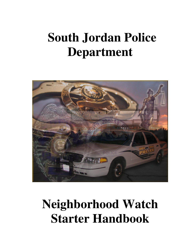# **South Jordan Police Department**



# **Neighborhood Watch Starter Handbook**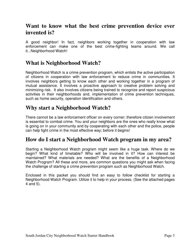# **Want to know what the best crime prevention device ever invented is?**

A good neighbor! In fact, neighbors working together in cooperation with law enforcement can make one of the best crime-fighting teams around. We call it...Neighborhood Watch!

# **What is Neighborhood Watch?**

Neighborhood Watch is a crime prevention program, which enlists the active participation of citizens in cooperation with law enforcement to reduce crime in communities. It involves neighbors getting to know each other and working together in a program of mutual assistance. It involves a proactive approach to creative problem solving and minimizing risk. It also involves citizens being trained to recognize and report suspicious activities in their neighborhoods and, implementation of crime prevention techniques, such as home security, operation identification and others.

# **Why start a Neighborhood Watch?**

There cannot be a law enforcement officer on every corner; therefore citizen involvement is essential to combat crime. You and your neighbors are the ones who really know what is going on in your community and by cooperating with each other and the police, people can help fight crime in the most effective way; before it begins!

## **How do I start a Neighborhood Watch program in my area?**

Starting a Neighborhood Watch program might seem like a huge task. Where do we begin? What kind of timetable? Who will be involved in it? How can interest be maintained? What materials are needed? What are the benefits of a Neighborhood Watch Program? All these and more, are common questions you might ask when facing the challenge of starting a crime prevention program such as Neighborhood Watch.

Enclosed in this packet you should find an easy to follow checklist for starting a Neighborhood Watch Program. Utilize it to help in your process. (See the attached pages 4 and 5).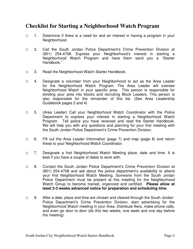## **Checklist for Starting a Neighborhood Watch Program**

- □ 1. Determine if there is a need for and an interest in having a program in your Neighborhood.
- □ 2. Call the South Jordan Police Department's Crime Prevention Division at (801) 254-4708. Express your Neighborhood's interest in starting a Neighborhood Watch Program and have them send you a "Starter Handbook."
- □ 3. Read the Neighborhood Watch Starter Handbook.
- □ 4. Designate a volunteer from your Neighborhood to act as the Area Leader for the Neighborhood Watch Program. The Area Leader will oversee Neighborhood Watch in your specific area. This person is responsible for dividing your area into blocks and recruiting Block Leaders. This person is also responsible for the remainder of this list. (See Area Leadership Guidebook pages 2 and 4)
- □ 5. (Area Leader) Call your Neighborhood Watch Coordinator with the Police Department to express your interest in starting a Neighborhood Watch Program. Tell police you have received and read the Starter Handbook. We will help you with any questions and planning for your first meeting with the South Jordan Police Department's Crime Prevention Division.
- □ 6. Fill out the Area Leader Information (page 7) and map (page 8) and return these to your Neighborhood Watch Coordinator.
- □ 7. Designate a first Neighborhood Watch Meeting place, date and time. It is best if you have a couple of dates to work with.
- □ 8. Contact the South Jordan Police Department's Crime Prevention Division at (801) 254-4708 and ask about the police department's availability to attend your first Neighborhood Watch Meeting. Someone from the South Jordan Police Department must be present at this meeting for the Neighborhood Watch Group to become trained, organized and certified. **Please allow at least 2-3 weeks advanced notice for preparation and scheduling time.**
- □ 9. After a date, place and time are chosen and cleared through the South Jordan Police Department's Crime Prevention Division, start advertising for the Neighborhood Watch meeting in your Area. Distribute fliers, make phone calls, and even go door to door (do this two weeks, one week and one day before the meeting).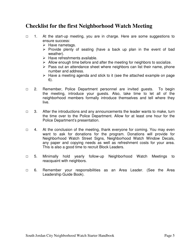# **Checklist for the first Neighborhood Watch Meeting**

- □ 1. At the start-up meeting, you are in charge. Here are some suggestions to ensure success:
	- $\triangleright$  Have nametags.
	- $\triangleright$  Provide plenty of seating (have a back up plan in the event of bad weather).
	- $\triangleright$  Have refreshments available.
	- $\triangleright$  Allow enough time before and after the meeting for neighbors to socialize.
	- $\triangleright$  Pass out an attendance sheet where neighbors can list their name, phone number and address.
	- $\triangleright$  Have a meeting agenda and stick to it (see the attached example on page 6).
- □ 2. Remember, Police Department personnel are invited guests. To begin the meeting, introduce your guests. Also, take time to let all of the neighborhood members formally introduce themselves and tell where they live.
- $\Box$  3. After the introductions and any announcements the leader wants to make, turn the time over to the Police Department. Allow for at least one hour for the Police Department's presentation.
- □ 4. At the conclusion of the meeting, thank everyone for coming. You may even want to ask for donations for the program. Donations will provide for Neighborhood Watch Street Signs, Neighborhood Watch Window Decals, any paper and copying needs as well as refreshment costs for your area. This is also a good time to recruit Block Leaders.
- □ 5. Minimally hold yearly follow-up Neighborhood Watch Meetings to reacquaint with neighbors.
- □ 6. Remember your responsibilities as an Area Leader. (See the Area Leadership Guide Book).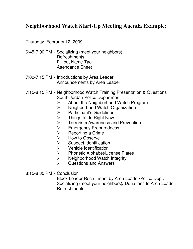# **Neighborhood Watch Start-Up Meeting Agenda Example:**

Thursday, February 12, 2009

- 6:45-7:00 PM Socializing (meet your neighbors) **Refreshments**  Fill out Name Tag Attendance Sheet
- 7:00-7:15 PM Introductions by Area Leader Announcements by Area Leader
- 7:15-8:15 PM Neighborhood Watch Training Presentation & Questions South Jordan Police Department
	- $\triangleright$  About the Neighborhood Watch Program
	- $\triangleright$  Neighborhood Watch Organization
	- $\triangleright$  Participant's Guidelines
	- → Things to do Right Now<br>→ Terrorism Awareness ar
	- Terrorism Awareness and Prevention
	-
	- Reporting a Crime
	- How to Observe
	- Suspect Identification
	- Vehicle Identification
	- → Emergency Preparedness<br>
	→ Reporting a Crime<br>
	→ How to Observe<br>
	→ Suspect Identification<br>
	→ Vehicle Identification<br>
	→ Phonetic Alphabet/License  $\geq$  Phonetic Alphabet/License Plates<br>  $\geq$  Neighborhood Watch Integrity
	- Neighborhood Watch Integrity
	- $\triangleright$  Questions and Answers
- 8:15-8:30 PM Conclusion

 Block Leader Recruitment by Area Leader/Police Dept. Socializing (meet your neighbors)/ Donations to Area Leader **Refreshments**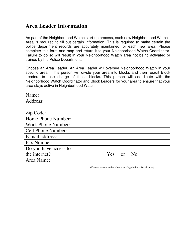## **Area Leader Information**

As part of the Neighborhood Watch start-up process, each new Neighborhood Watch Area is required to fill out certain information. This is required to make certain the police department records are accurately maintained for each new area. Please complete this form and map and return it to your Neighborhood Watch Coordinator. Failure to do so will result in your Neighborhood Watch area not being activated or trained by the Police Department.

Choose an Area Leader. An Area Leader will oversee Neighborhood Watch in your specific area. This person will divide your area into blocks and then recruit Block Leaders to take charge of those blocks. This person will coordinate with the Neighborhood Watch Coordinator and Block Leaders for your area to ensure that your area stays active in Neighborhood Watch.

| Name:                     |                                                             |
|---------------------------|-------------------------------------------------------------|
| Address:                  |                                                             |
|                           |                                                             |
| Zip Code:                 |                                                             |
| Home Phone Number:        |                                                             |
| <b>Work Phone Number:</b> |                                                             |
| <b>Cell Phone Number:</b> |                                                             |
| E-mail address:           |                                                             |
| Fax Number:               |                                                             |
| Do you have access to     |                                                             |
| the internet?             | N <sub>0</sub><br>Yes.<br>or                                |
| Area Name:                |                                                             |
|                           | (Create a name that describes your Neighborhood Watch Area) |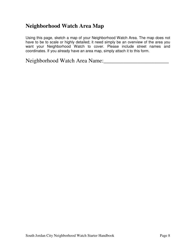# **Neighborhood Watch Area Map**

Using this page, sketch a map of your Neighborhood Watch Area. The map does not have to be to scale or highly detailed; it need simply be an overview of the area you want your Neighborhood Watch to cover. Please include street names and coordinates. If you already have an area map, simply attach it to this form.

Neighborhood Watch Area Name:\_\_\_\_\_\_\_\_\_\_\_\_\_\_\_\_\_\_\_\_\_\_\_